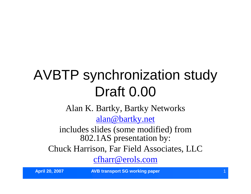# AVBTP synchronization study Draft 0.00

Alan K. Bartky, Bartky Networks

alan@bartky.net

includes slides (some modified) from 802.1AS presentation by:

Chuck Harrison, Far Field Associates, LLC

cfharr@erols.com

**April 20, 2007 AVB transport SG working paper**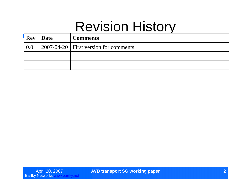### Revision History

| <b>Rev</b> | Date | <b>Comments</b>                                       |
|------------|------|-------------------------------------------------------|
| 0.0        |      | $\vert$ 2007-04-20 $\vert$ First version for comments |
|            |      |                                                       |
|            |      |                                                       |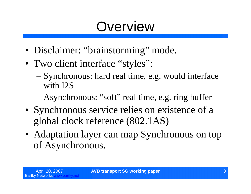# **Overview**

- Disclaimer: "brainstorming" mode.
- Two client interface "styles":
	- –Synchronous: hard real time, e.g. would interface with I2S
	- Asynchronous: "soft" real time, e.g. ring buffer
- Synchronous service relies on existence of a global clock reference (802.1AS)
- Adaptation layer can map Synchronous on top of Asynchronous.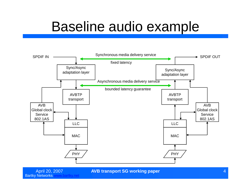# Baseline audio example



April 20, 2007 **AVB transport SG working paper** 4

Bartky Networks www.bartky.net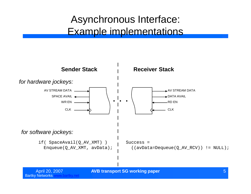### Asynchronous Interface: Example implementations

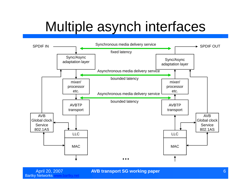# Multiple asynch interfaces



April 20, 2007 **AVB transport SG working paper** 6

Bartky Networks www.bartky.net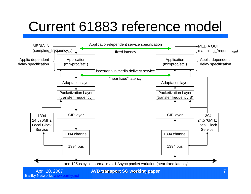# Current 61883 reference model

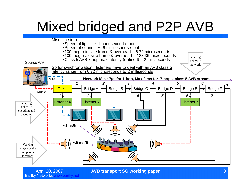# Mixed bridged and P2P AVB



Bartky Networks www.bartky.net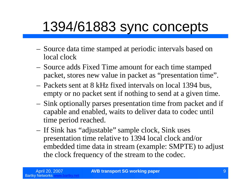# 1394/61883 sync concepts

- Source data time stamped at periodic intervals based on local clock
- Source adds Fixed Time amount for each time stamped packet, stores new value in packet as "presentation time".
- Packets sent at 8 kHz fixed intervals on local 1394 bus, empty or no packet sent if nothing to send at a given time.
- Sink optionally parses presentation time from packet and if capable and enabled, waits to deliver data to codec until time period reached.
- If Sink has "adjustable" sample clock, Sink uses presentation time relative to 1394 local clock and/or embedded time data in stream (example: SMPTE) to adjust the clock frequency of the stream to the codec.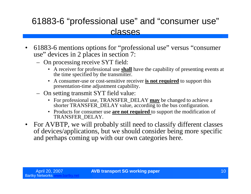#### 61883-6 "professional use"and "consumer use" classes

- 61883-6 mentions options for "professional use"versus "consumer use" devices in 2 places in section 7:
	- On processing receive SYT field:
		- A receiver for professional use **shall** have the capability of presenting events at the time specified by the transmitter.
		- A consumer-use or cost-sensitive receiver **is not required** to support this presentation-time adjustment capability.
	- On setting transmit SYT field value:
		- For professional use, TRANSFER\_DELAY **may** be changed to achieve a shorter TRANSFER\_DELAY value, according to the bus configuration.
		- Products for consumer use **are not required** to support the modification of TRANSFER\_DELAY.
- For AVBTP, we will probably still need to classify different classes of devices/applications, but we should consider being more specific and perhaps coming up with our own categories here.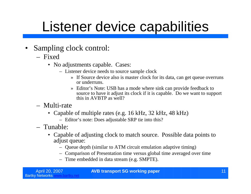### Listener device capabilities

- Sampling clock control:
	- Fixed
		- No adjustments capable. Cases:
			- Listener device needs to source sample clock
				- » If Source device also is master clock for its data, can get queue overruns or underruns.
				- » Editor's Note: USB has a mode where sink can provide feedback to source to have it adjust its clock if it is capable. Do we want to support this in AVBTP as well?
	- Multi-rate
		- Capable of multiple rates (e.g. 16 kHz, 32 kHz, 48 kHz)
			- Editor's note: Does adjustable SRP tie into this?
	- Tunable:
		- Capable of adjusting clock to match source. Possible data points to adjust queue:
			- Queue depth (similar to ATM circuit emulation adaptive timing)
			- Comparison of Presentation time versus global time averaged over time
			- Time embedded in data stream (e.g. SMPTE).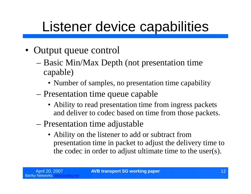# Listener device capabilities

- Output queue control
	- –Basic Min/Max Depth (not presentation time capable)
		- Number of samples, no presentation time capability
	- –Presentation time queue capable
		- Ability to read presentation time from ingress packets and deliver to codec based on time from those packets.
	- –Presentation time adjustable
		- Ability on the listener to add or subtract from presentation time in packet to adjust the delivery time to the codec in order to adjust ultimate time to the user(s).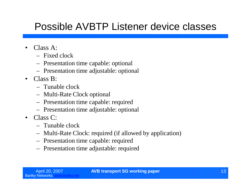### Possible AVBTP Listener device classes

- Class A:
	- Fixed clock
	- Presentation time capable: optional
	- Presentation time adjustable: optional
- $\bullet$  Class  $\mathbf{R}^{\cdot}$ 
	- Tunable clock
	- Multi-Rate Clock optional
	- Presentation time capable: required
	- Presentation time adjustable: optional
- Class C:
	- Tunable clock
	- Multi-Rate Clock: required (if allowed by application)
	- Presentation time capable: required
	- Presentation time adjustable: required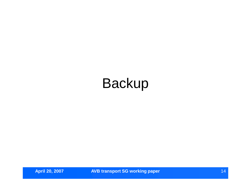# Backup

**April 20, 2007 AVB transport SG working paper** 14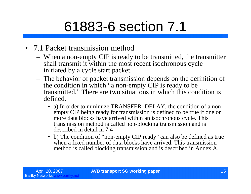# 61883-6 section 7.1

- 7.1 Packet transmission method
	- When a non-empty CIP is ready to be transmitted, the transmitter shall transmit it within the most recent isochronous cycle initiated by a cycle start packet.
	- The behavior of packet transmission depends on the definition of the condition in which "a non-empty CIP is ready to be transmitted."There are two situations in which this condition is defined.
		- a) In order to minimize TRANSFER\_DELAY, the condition of a nonempty CIP being ready for transmission is defined to be true if one or more data blocks have arrived within an isochronous cycle. This transmission method is called non-blocking transmission and is described in detail in 7.4
		- b) The condition of "non-empty CIP ready" can also be defined as true when a fixed number of data blocks have arrived. This transmission method is called blocking transmission and is described in Annex A.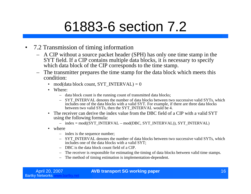# 61883-6 section 7.2

- 7.2 Transmission of timing information
	- A CIP without a source packet header (SPH) has only one time stamp in the SYT field. If a CIP contains multiple data blocks, it is necessary to specify which data block of the CIP corresponds to the time stamp.
	- The transmitter prepares the time stamp for the data block which meets this condition:
		- mod(data block count, SYT\_INTERVAL) =  $0$
		- Where:
			- data block count is the running count of transmitted data blocks;
			- SYT\_INTERVAL denotes the number of data blocks between two successive valid SYTs, which includes one of the data blocks with a valid SYT. For example, if there are three data blocks between two valid SYTs, then the SYT\_INTERVAL would be 4.
		- The receiver can derive the index value from the DBC field of a CIP with a valid SYT using the following formula:
			- $-$  index = mod((SYT\_INTERVAL mod(DBC, SYT\_INTERVAL)), SYT\_INTERVAL)
		- where
			- index is the sequence number;
			- SYT\_INTERVAL denotes the number of data blocks between two successive valid SYTs, which includes one of the data blocks with a valid SYT;
			- DBC is the data block count field of a CIP.
			- The receiver is responsible for estimating the timing of data blocks between valid time stamps.
			- The method of timing estimation is implementation-dependent.